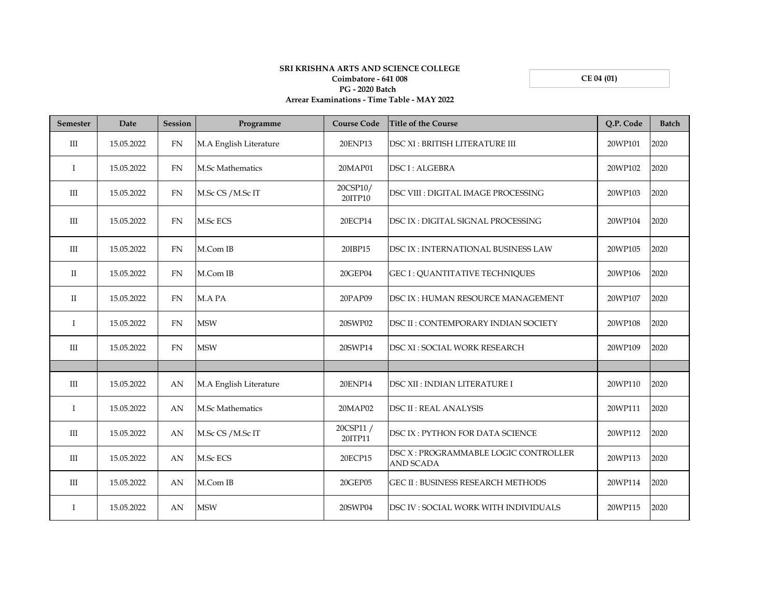**CE 04 (01)**

## **SRI KRISHNA ARTS AND SCIENCE COLLEGE Coimbatore - 641 008 PG - 2020 Batch Arrear Examinations - Time Table - MAY 2022**

| <b>Semester</b>    | Date       | <b>Session</b> | Programme               | <b>Course Code</b>   | <b>Title of the Course</b>                                | Q.P. Code | <b>Batch</b> |
|--------------------|------------|----------------|-------------------------|----------------------|-----------------------------------------------------------|-----------|--------------|
| $\mathop{\rm III}$ | 15.05.2022 | FN             | M.A English Literature  | 20ENP13              | <b>DSC XI: BRITISH LITERATURE III</b>                     | 20WP101   | 2020         |
| $\mathbf I$        | 15.05.2022 | FN             | M.Sc Mathematics        | 20MAP01              | <b>DSC I: ALGEBRA</b>                                     | 20WP102   | 2020         |
| $\mathop{\rm III}$ | 15.05.2022 | FN             | M.Sc CS / M.Sc IT       | 20CSP10/<br>20ITP10  | DSC VIII : DIGITAL IMAGE PROCESSING                       | 20WP103   | 2020         |
| III                | 15.05.2022 | <b>FN</b>      | M.Sc ECS                | 20ECP14              | DSC IX : DIGITAL SIGNAL PROCESSING                        | 20WP104   | 2020         |
| Ш                  | 15.05.2022 | <b>FN</b>      | M.Com IB                | 20IBP15              | DSC IX : INTERNATIONAL BUSINESS LAW                       | 20WP105   | 2020         |
| $\mathbf{I}$       | 15.05.2022 | FN             | M.Com IB                | 20GEP04              | <b>GEC I: OUANTITATIVE TECHNIQUES</b>                     | 20WP106   | 2020         |
| $\mathbf{I}$       | 15.05.2022 | <b>FN</b>      | M.A PA                  | 20PAP09              | DSC IX : HUMAN RESOURCE MANAGEMENT                        | 20WP107   | 2020         |
| Ι                  | 15.05.2022 | <b>FN</b>      | <b>MSW</b>              | 20SWP02              | DSC II : CONTEMPORARY INDIAN SOCIETY                      | 20WP108   | 2020         |
| $\rm III$          | 15.05.2022 | FN             | <b>MSW</b>              | 20SWP14              | DSC XI : SOCIAL WORK RESEARCH                             | 20WP109   | 2020         |
|                    |            |                |                         |                      |                                                           |           |              |
| III                | 15.05.2022 | AN             | M.A English Literature  | 20ENP14              | DSC XII : INDIAN LITERATURE I                             | 20WP110   | 2020         |
| $\mathbf I$        | 15.05.2022 | AN             | <b>M.Sc Mathematics</b> | 20MAP02              | <b>DSC II: REAL ANALYSIS</b>                              | 20WP111   | 2020         |
| III                | 15.05.2022 | AN             | M.Sc CS / M.Sc IT       | 20CSP11 /<br>20ITP11 | DSC IX : PYTHON FOR DATA SCIENCE                          | 20WP112   | 2020         |
| III                | 15.05.2022 | AN             | M.Sc ECS                | 20ECP15              | DSC X : PROGRAMMABLE LOGIC CONTROLLER<br><b>AND SCADA</b> | 20WP113   | 2020         |
| III                | 15.05.2022 | AN             | M.Com IB                | 20GEP05              | <b>GEC II: BUSINESS RESEARCH METHODS</b>                  | 20WP114   | 2020         |
| T                  | 15.05.2022 | AN             | <b>MSW</b>              | 20SWP04              | DSC IV : SOCIAL WORK WITH INDIVIDUALS                     | 20WP115   | 2020         |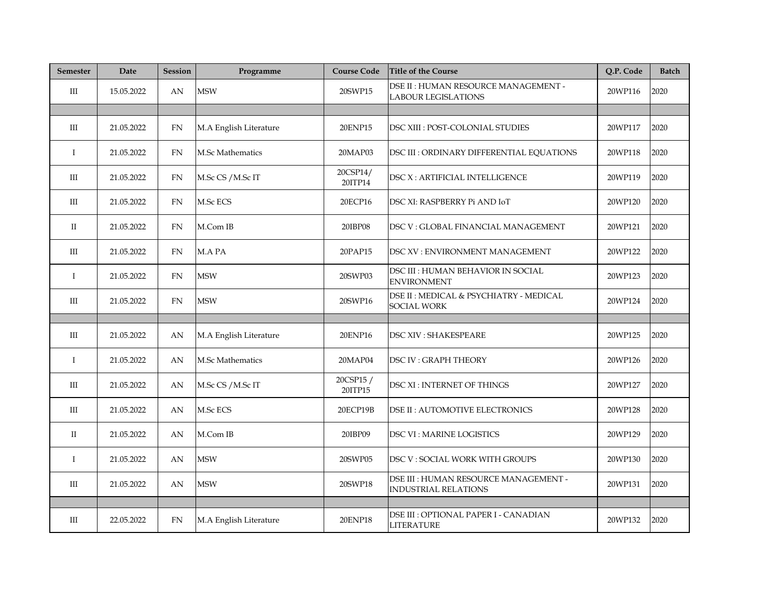| <b>Semester</b>                  | Date       | <b>Session</b> | Programme               | <b>Course Code</b>   | <b>Title of the Course</b>                                           | Q.P. Code | <b>Batch</b> |
|----------------------------------|------------|----------------|-------------------------|----------------------|----------------------------------------------------------------------|-----------|--------------|
| III                              | 15.05.2022 | AN             | <b>MSW</b>              | 20SWP15              | DSE II : HUMAN RESOURCE MANAGEMENT -<br><b>LABOUR LEGISLATIONS</b>   | 20WP116   | 2020         |
|                                  |            |                |                         |                      |                                                                      |           |              |
| $\mathop{\mathrm{III}}\nolimits$ | 21.05.2022 | <b>FN</b>      | M.A English Literature  | 20ENP15              | DSC XIII : POST-COLONIAL STUDIES                                     | 20WP117   | 2020         |
| $\mathbf I$                      | 21.05.2022 | <b>FN</b>      | <b>M.Sc Mathematics</b> | 20MAP03              | DSC III : ORDINARY DIFFERENTIAL EQUATIONS                            | 20WP118   | 2020         |
| III                              | 21.05.2022 | ${\rm FN}$     | M.Sc CS / M.Sc IT       | 20CSP14/<br>20ITP14  | DSC X : ARTIFICIAL INTELLIGENCE                                      | 20WP119   | 2020         |
| III                              | 21.05.2022 | <b>FN</b>      | M.Sc ECS                | 20ECP16              | DSC XI: RASPBERRY Pi AND IoT                                         | 20WP120   | 2020         |
| П                                | 21.05.2022 | FN             | M.Com IB                | 20IBP08              | DSC V : GLOBAL FINANCIAL MANAGEMENT                                  | 20WP121   | 2020         |
| Ш                                | 21.05.2022 | <b>FN</b>      | M.A PA                  | 20PAP15              | DSC XV : ENVIRONMENT MANAGEMENT                                      | 20WP122   | 2020         |
| $\bf{I}$                         | 21.05.2022 | <b>FN</b>      | <b>MSW</b>              | 20SWP03              | DSC III : HUMAN BEHAVIOR IN SOCIAL<br><b>ENVIRONMENT</b>             | 20WP123   | 2020         |
| Ш                                | 21.05.2022 | FN.            | <b>MSW</b>              | 20SWP16              | DSE II : MEDICAL & PSYCHIATRY - MEDICAL<br><b>SOCIAL WORK</b>        | 20WP124   | 2020         |
|                                  |            |                |                         |                      |                                                                      |           |              |
| III                              | 21.05.2022 | AN             | M.A English Literature  | 20ENP16              | <b>DSC XIV : SHAKESPEARE</b>                                         | 20WP125   | 2020         |
| $\bf{I}$                         | 21.05.2022 | AN             | <b>M.Sc Mathematics</b> | 20MAP04              | DSC IV : GRAPH THEORY                                                | 20WP126   | 2020         |
| III                              | 21.05.2022 | AN             | M.Sc CS / M.Sc IT       | 20CSP15 /<br>20ITP15 | <b>DSC XI: INTERNET OF THINGS</b>                                    | 20WP127   | 2020         |
| III                              | 21.05.2022 | AN             | M.Sc ECS                | 20ECP19B             | <b>DSE II: AUTOMOTIVE ELECTRONICS</b>                                | 20WP128   | 2020         |
| П                                | 21.05.2022 | AN             | M.Com IB                | 20IBP09              | <b>DSC VI: MARINE LOGISTICS</b>                                      | 20WP129   | 2020         |
| $\bf{I}$                         | 21.05.2022 | AN             | <b>MSW</b>              | 20SWP05              | DSC V : SOCIAL WORK WITH GROUPS                                      | 20WP130   | 2020         |
| Ш                                | 21.05.2022 | AN             | <b>MSW</b>              | 20SWP18              | DSE III : HUMAN RESOURCE MANAGEMENT -<br><b>INDUSTRIAL RELATIONS</b> | 20WP131   | 2020         |
|                                  |            |                |                         |                      |                                                                      |           |              |
| III                              | 22.05.2022 | <b>FN</b>      | M.A English Literature  | 20ENP18              | DSE III : OPTIONAL PAPER I - CANADIAN<br><b>LITERATURE</b>           | 20WP132   | 2020         |